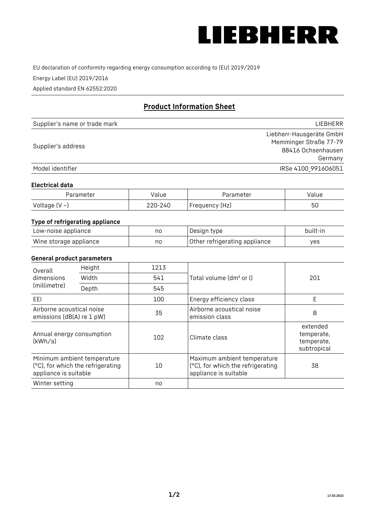

EU declaration of conformity regarding energy consumption according to (EU) 2019/2019

Energy Label (EU) 2019/2016

Applied standard EN 62552:2020

# **Product Information Sheet**

| Supplier's name or trade mark | LIEBHERR                 |
|-------------------------------|--------------------------|
|                               | Liebherr-Hausgeräte GmbH |
| Supplier's address            | Memminger Straße 77-79   |
|                               | 88416 Ochsenhausen       |
|                               | Germany                  |
| Model identifier              | IRSe 4100 991606051      |

#### **Electrical data**

| Parameter           | Value   | Parameter      | Value |
|---------------------|---------|----------------|-------|
| Voltage (V $\sim$ ) | 220-240 | Frequency (Hz) | 50    |

# **Type of refrigerating appliance**

| Low-noise appliance    | no | Design type                   | built-in |
|------------------------|----|-------------------------------|----------|
| Wine storage appliance | no | Other refrigerating appliance | yes      |

### **General product parameters**

| Height<br>Overall                                                                         |       | 1213 |                                                                                           |                                                     |
|-------------------------------------------------------------------------------------------|-------|------|-------------------------------------------------------------------------------------------|-----------------------------------------------------|
| dimensions<br>(millimetre)                                                                | Width | 541  | Total volume (dm <sup>3</sup> or l)                                                       | 201                                                 |
|                                                                                           | Depth | 545  |                                                                                           |                                                     |
| EEL                                                                                       |       | 100  | Energy efficiency class                                                                   | Е                                                   |
| Airborne acoustical noise<br>emissions (dB(A) re 1 pW)                                    |       | 35   | Airborne acoustical noise<br>emission class                                               | B                                                   |
| Annual energy consumption<br>(kWh/a)                                                      |       | 102  | Climate class                                                                             | extended<br>temperate,<br>temperate,<br>subtropical |
| Minimum ambient temperature<br>(°C), for which the refrigerating<br>appliance is suitable |       | 10   | Maximum ambient temperature<br>(°C), for which the refrigerating<br>appliance is suitable | 38                                                  |
| Winter setting                                                                            |       | no   |                                                                                           |                                                     |